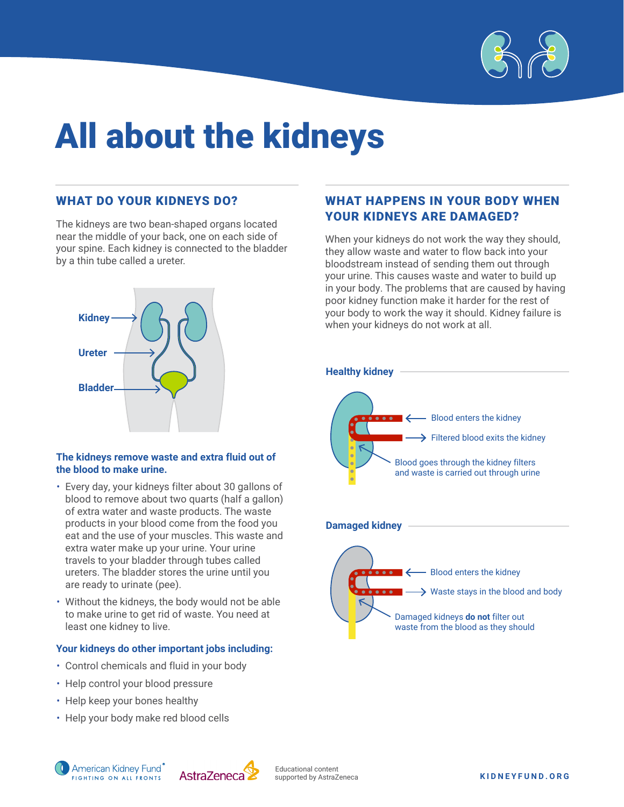

# All about the kidneys

#### WHAT DO YOUR KIDNEYS DO?

The kidneys are two bean-shaped organs located near the middle of your back, one on each side of your spine. Each kidney is connected to the bladder by a thin tube called a ureter.



#### **The kidneys remove waste and extra fluid out of the blood to make urine.**

- Every day, your kidneys filter about 30 gallons of blood to remove about two quarts (half a gallon) of extra water and waste products. The waste products in your blood come from the food you eat and the use of your muscles. This waste and extra water make up your urine. Your urine travels to your bladder through tubes called ureters. The bladder stores the urine until you are ready to urinate (pee).
- Without the kidneys, the body would not be able to make urine to get rid of waste. You need at least one kidney to live.

#### **Your kidneys do other important jobs including:**

- Control chemicals and fluid in your body
- Help control your blood pressure
- Help keep your bones healthy
- Help your body make red blood cells

#### WHAT HAPPENS IN YOUR BODY WHEN YOUR KIDNEYS ARE DAMAGED?

When your kidneys do not work the way they should, they allow waste and water to flow back into your bloodstream instead of sending them out through your urine. This causes waste and water to build up in your body. The problems that are caused by having poor kidney function make it harder for the rest of your body to work the way it should. Kidney failure is when your kidneys do not work at all.



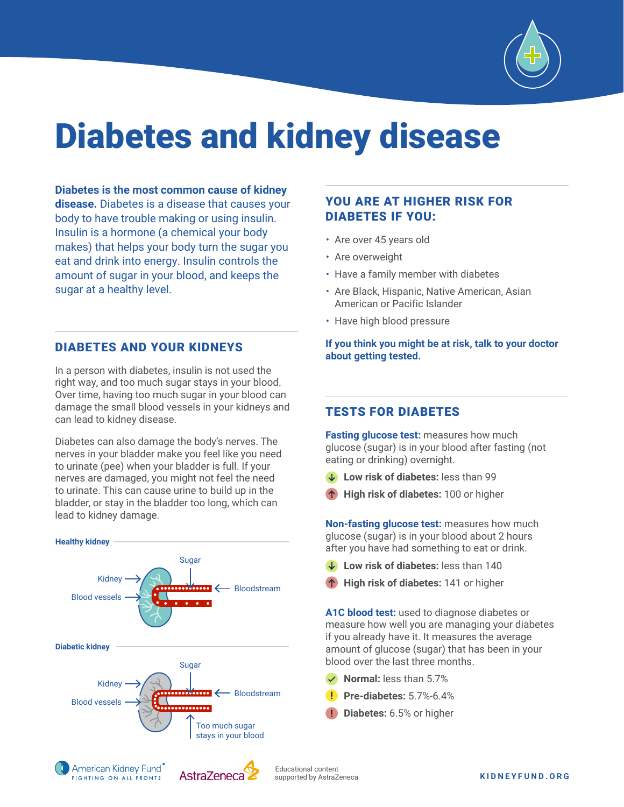

## Diabetes and kidney disease

**Diabetes is the most common cause of kidney disease.** Diabetes is a disease that causes your body to have trouble making or using insulin. Insulin is a hormone (a chemical your body makes) that helps your body turn the sugar you eat and drink into energy. Insulin controls the amount of sugar in your blood, and keeps the sugar at a healthy level.

#### DIABETES AND YOUR KIDNEYS

In a person with diabetes, insulin is not used the right way, and too much sugar stays in your blood. Over time, having too much sugar in your blood can damage the small blood vessels in your kidneys and can lead to kidney disease.

Diabetes can also damage the body's nerves. The nerves in your bladder make you feel like you need to urinate (pee) when your bladder is full. If your nerves are damaged, you might not feel the need to urinate. This can cause urine to build up in the bladder, or stay in the bladder too long, which can lead to kidney damage.



FIGHTING ON ALL FRONTS

AstraZeneca

#### YOU ARE AT HIGHER RISK FOR DIABETES IF YOU:

- Are over 45 years old
- Are overweight
- Have a family member with diabetes
- Are Black, Hispanic, Native American, Asian American or Pacific Islander
- Have high blood pressure

**If you think you might be at risk, talk to your doctor about getting tested.**

#### TESTS FOR DIABETES

**Fasting glucose test:** measures how much glucose (sugar) is in your blood after fasting (not eating or drinking) overnight.

- **Low risk of diabetes:** less than 99
- **High risk of diabetes:** 100 or higher

**Non-fasting glucose test:** measures how much glucose (sugar) is in your blood about 2 hours after you have had something to eat or drink.

- **Low risk of diabetes:** less than 140
- **High risk of diabetes:** 141 or higher

**A1C blood test:** used to diagnose diabetes or measure how well you are managing your diabetes if you already have it. It measures the average amount of glucose (sugar) that has been in your blood over the last three months.

- **Normal:** less than 5.7%
- **Pre-diabetes:** 5.7%-6.4%
- **Diabetes:** 6.5% or higher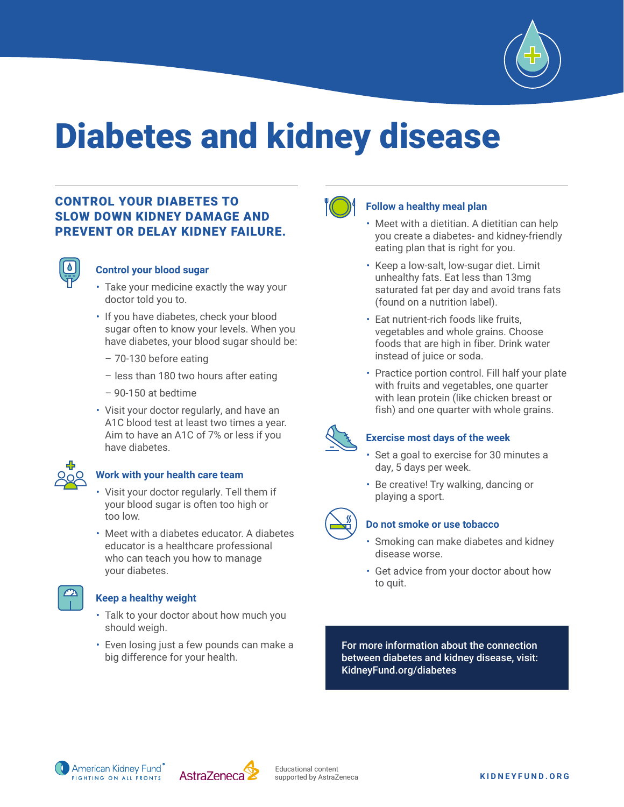

## Diabetes and kidney disease

#### CONTROL YOUR DIABETES TO SLOW DOWN KIDNEY DAMAGE AND PREVENT OR DELAY KIDNEY FAILURE.



#### **Control your blood sugar**

- Take your medicine exactly the way your doctor told you to.
- If you have diabetes, check your blood sugar often to know your levels. When you have diabetes, your blood sugar should be:
	- 70-130 before eating
	- less than 180 two hours after eating
	- 90-150 at bedtime
- Visit your doctor regularly, and have an A1C blood test at least two times a year. Aim to have an A1C of 7% or less if you have diabetes.



#### **Work with your health care team**

- Visit your doctor regularly. Tell them if your blood sugar is often too high or too low.
- Meet with a diabetes educator. A diabetes educator is a healthcare professional who can teach you how to manage your diabetes.



#### **Keep a healthy weight**

- Talk to your doctor about how much you should weigh.
- Even losing just a few pounds can make a big difference for your health.



#### **Follow a healthy meal plan**

- Meet with a dietitian. A dietitian can help you create a diabetes- and kidney-friendly eating plan that is right for you.
- Keep a low-salt, low-sugar diet. Limit unhealthy fats. Eat less than 13mg saturated fat per day and avoid trans fats (found on a nutrition label).
- Eat nutrient-rich foods like fruits, vegetables and whole grains. Choose foods that are high in fiber. Drink water instead of juice or soda.
- Practice portion control. Fill half your plate with fruits and vegetables, one quarter with lean protein (like chicken breast or fish) and one quarter with whole grains.



#### **Exercise most days of the week**

- Set a goal to exercise for 30 minutes a day, 5 days per week.
- Be creative! Try walking, dancing or playing a sport.



#### **Do not smoke or use tobacco**

- Smoking can make diabetes and kidney disease worse.
- Get advice from your doctor about how to quit.

For more information about the connection between diabetes and kidney disease, visit: KidneyFund.org/diabetes

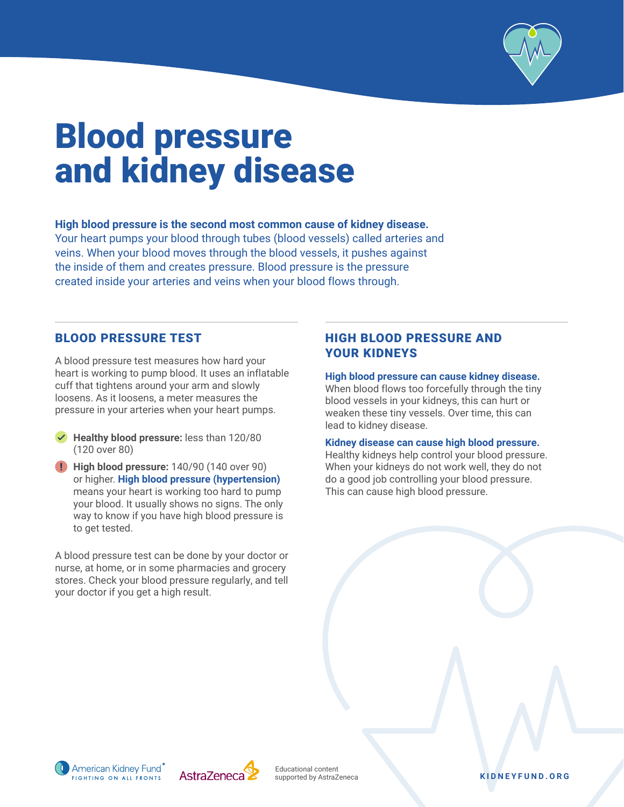

### Blood pressure and kidney disease

#### **High blood pressure is the second most common cause of kidney disease.**

Your heart pumps your blood through tubes (blood vessels) called arteries and veins. When your blood moves through the blood vessels, it pushes against the inside of them and creates pressure. Blood pressure is the pressure created inside your arteries and veins when your blood flows through.

#### BLOOD PRESSURE TEST

A blood pressure test measures how hard your heart is working to pump blood. It uses an inflatable cuff that tightens around your arm and slowly loosens. As it loosens, a meter measures the pressure in your arteries when your heart pumps.

- **Healthy blood pressure:** less than 120/80 (120 over 80)
- **High blood pressure:** 140/90 (140 over 90) or higher. **High blood pressure (hypertension)** means your heart is working too hard to pump your blood. It usually shows no signs. The only way to know if you have high blood pressure is to get tested.

A blood pressure test can be done by your doctor or nurse, at home, or in some pharmacies and grocery stores. Check your blood pressure regularly, and tell your doctor if you get a high result.

#### HIGH BLOOD PRESSURE AND YOUR KIDNEYS

#### **High blood pressure can cause kidney disease.**

When blood flows too forcefully through the tiny blood vessels in your kidneys, this can hurt or weaken these tiny vessels. Over time, this can lead to kidney disease.

#### **Kidney disease can cause high blood pressure.**

Healthy kidneys help control your blood pressure. When your kidneys do not work well, they do not do a good job controlling your blood pressure. This can cause high blood pressure.



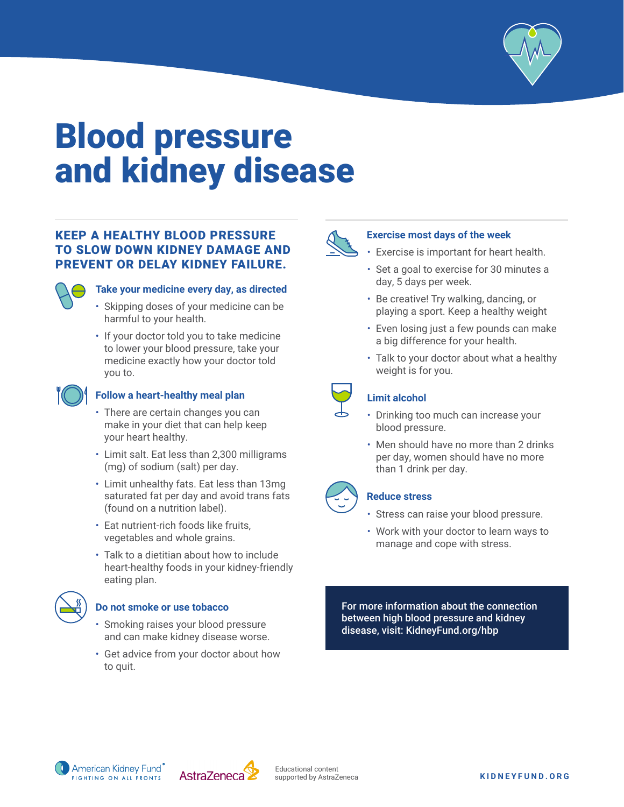

### Blood pressure and kidney disease

#### KEEP A HEALTHY BLOOD PRESSURE TO SLOW DOWN KIDNEY DAMAGE AND PREVENT OR DELAY KIDNEY FAILURE.



#### **Take your medicine every day, as directed**

- Skipping doses of your medicine can be harmful to your health.
- If your doctor told you to take medicine to lower your blood pressure, take your medicine exactly how your doctor told you to.



#### **Follow a heart-healthy meal plan**

- There are certain changes you can make in your diet that can help keep your heart healthy.
- Limit salt. Eat less than 2,300 milligrams (mg) of sodium (salt) per day.
- Limit unhealthy fats. Eat less than 13mg saturated fat per day and avoid trans fats (found on a nutrition label).
- Eat nutrient-rich foods like fruits, vegetables and whole grains.
- Talk to a dietitian about how to include heart-healthy foods in your kidney-friendly eating plan.



#### **Do not smoke or use tobacco**

- Smoking raises your blood pressure and can make kidney disease worse.
- Get advice from your doctor about how to quit.



#### **Exercise most days of the week**

- Exercise is important for heart health.
- Set a goal to exercise for 30 minutes a day, 5 days per week.
- Be creative! Try walking, dancing, or playing a sport. Keep a healthy weight
- Even losing just a few pounds can make a big difference for your health.
- Talk to your doctor about what a healthy weight is for you.



#### **Limit alcohol**

- Drinking too much can increase your blood pressure.
- Men should have no more than 2 drinks per day, women should have no more than 1 drink per day.



#### **Reduce stress**

- Stress can raise your blood pressure.
- Work with your doctor to learn ways to manage and cope with stress.

For more information about the connection between high blood pressure and kidney disease, visit: KidneyFund.org/hbp



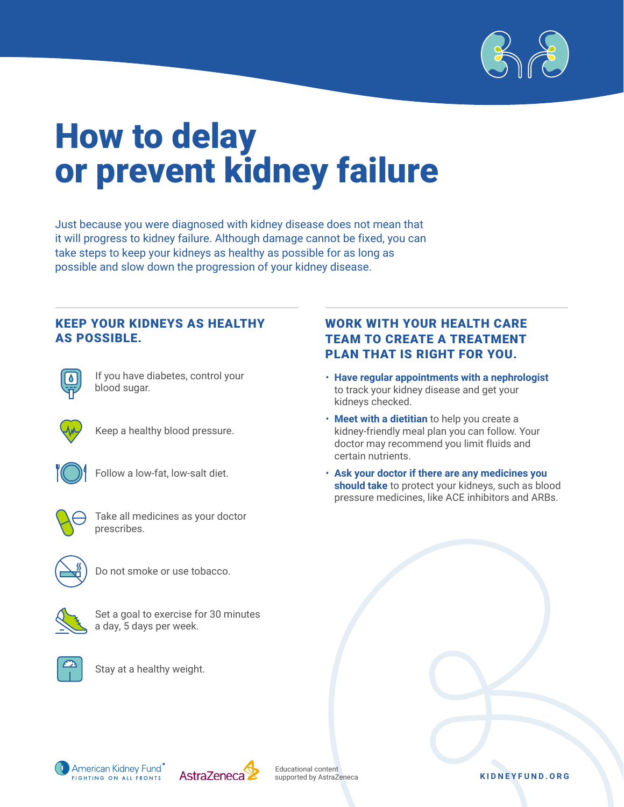

### How to delay or prevent kidney failure

Just because you were diagnosed with kidney disease does not mean that it will progress to kidney failure. Although damage cannot be fixed, you can take steps to keep your kidneys as healthy as possible for as long as possible and slow down the progression of your kidney disease.

#### KEEP YOUR KIDNEYS AS HEALTHY AS POSSIBLE.



If you have diabetes, control your blood sugar.



Keep a healthy blood pressure.



Follow a low-fat, low-salt diet.



Take all medicines as your doctor prescribes.



Do not smoke or use tobacco.



Set a goal to exercise for 30 minutes a day, 5 days per week.



Stay at a healthy weight.

#### WORK WITH YOUR HEALTH CARE TEAM TO CREATE A TREATMENT PLAN THAT IS RIGHT FOR YOU.

- **Have regular appointments with a nephrologist** to track your kidney disease and get your kidneys checked.
- **Meet with a dietitian** to help you create a kidney-friendly meal plan you can follow. Your doctor may recommend you limit fluids and certain nutrients.
- **Ask your doctor if there are any medicines you should take** to protect your kidneys, such as blood pressure medicines, like ACE inhibitors and ARBs.





Educational content supported by AstraZeneca

**KIDNEYFUND.ORG**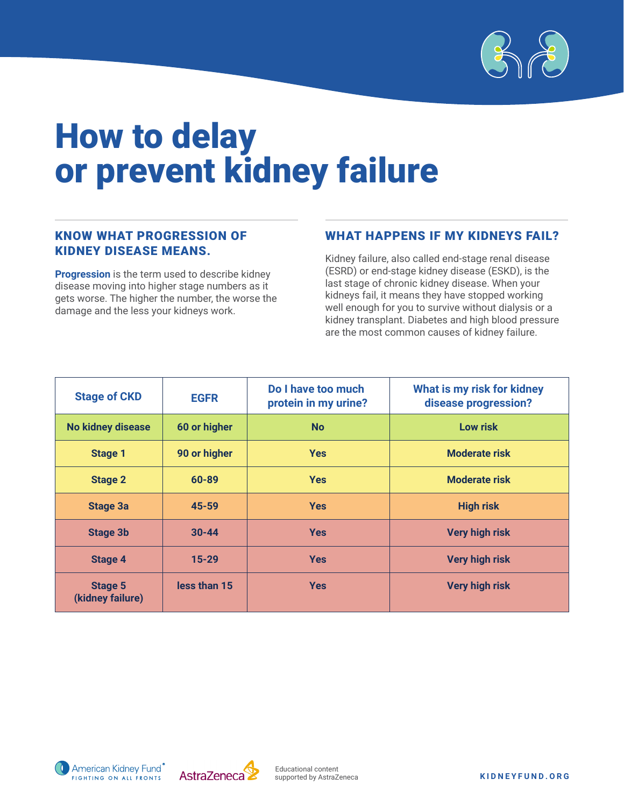

### How to delay or prevent kidney failure

#### KNOW WHAT PROGRESSION OF KIDNEY DISEASE MEANS.

**Progression** is the term used to describe kidney disease moving into higher stage numbers as it gets worse. The higher the number, the worse the damage and the less your kidneys work.

#### WHAT HAPPENS IF MY KIDNEYS FAIL?

Kidney failure, also called end-stage renal disease (ESRD) or end-stage kidney disease (ESKD), is the last stage of chronic kidney disease. When your kidneys fail, it means they have stopped working well enough for you to survive without dialysis or a kidney transplant. Diabetes and high blood pressure are the most common causes of kidney failure.

| <b>Stage of CKD</b>                | <b>EGFR</b>  | Do I have too much<br>protein in my urine? | What is my risk for kidney<br>disease progression? |  |
|------------------------------------|--------------|--------------------------------------------|----------------------------------------------------|--|
| No kidney disease                  | 60 or higher | <b>No</b>                                  | Low risk                                           |  |
| <b>Stage 1</b>                     | 90 or higher | <b>Yes</b>                                 | <b>Moderate risk</b>                               |  |
| <b>Stage 2</b>                     | 60-89        | <b>Yes</b>                                 | <b>Moderate risk</b>                               |  |
| <b>Stage 3a</b>                    | 45-59        | <b>Yes</b>                                 | <b>High risk</b>                                   |  |
| <b>Stage 3b</b>                    | $30 - 44$    | <b>Yes</b>                                 | <b>Very high risk</b>                              |  |
| <b>Stage 4</b>                     | $15 - 29$    | <b>Yes</b>                                 | <b>Very high risk</b>                              |  |
| <b>Stage 5</b><br>(kidney failure) | less than 15 | <b>Yes</b>                                 | <b>Very high risk</b>                              |  |



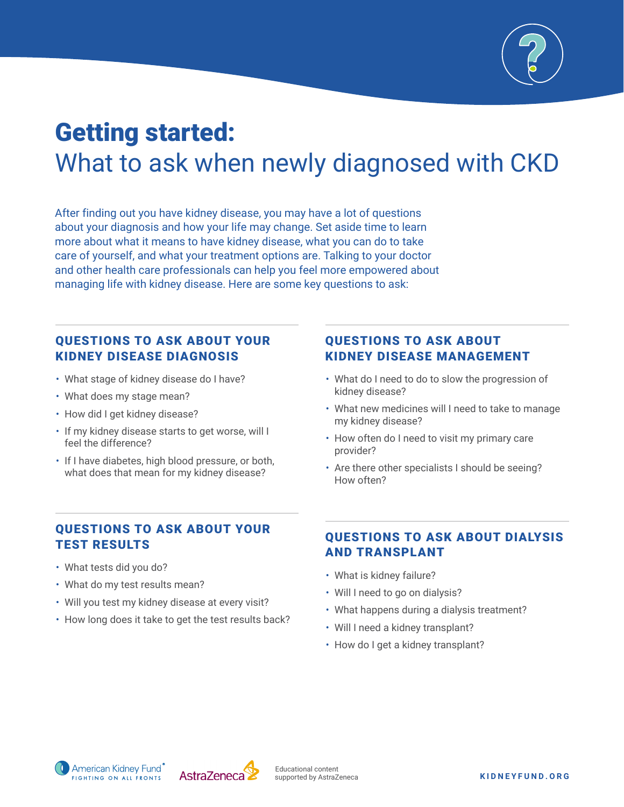

### Getting started: What to ask when newly diagnosed with CKD

After finding out you have kidney disease, you may have a lot of questions about your diagnosis and how your life may change. Set aside time to learn more about what it means to have kidney disease, what you can do to take care of yourself, and what your treatment options are. Talking to your doctor and other health care professionals can help you feel more empowered about managing life with kidney disease. Here are some key questions to ask:

#### QUESTIONS TO ASK ABOUT YOUR KIDNEY DISEASE DIAGNOSIS

- What stage of kidney disease do I have?
- What does my stage mean?
- How did I get kidney disease?
- If my kidney disease starts to get worse, will I feel the difference?
- If I have diabetes, high blood pressure, or both, what does that mean for my kidney disease?

#### QUESTIONS TO ASK ABOUT KIDNEY DISEASE MANAGEMENT

- What do I need to do to slow the progression of kidney disease?
- What new medicines will I need to take to manage my kidney disease?
- How often do I need to visit my primary care provider?
- Are there other specialists I should be seeing? How often?

#### QUESTIONS TO ASK ABOUT YOUR TEST RESULTS

- What tests did you do?
- What do my test results mean?
- Will you test my kidney disease at every visit?
- How long does it take to get the test results back?

#### QUESTIONS TO ASK ABOUT DIALYSIS AND TRANSPLANT

- What is kidney failure?
- Will I need to go on dialysis?
- What happens during a dialysis treatment?
- Will I need a kidney transplant?
- How do I get a kidney transplant?

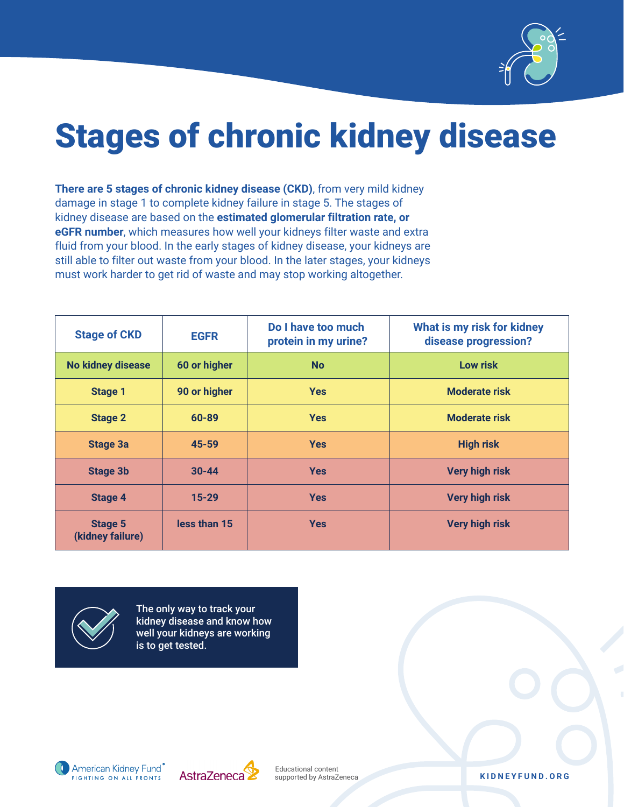

## Stages of chronic kidney disease

**There are 5 stages of chronic kidney disease (CKD)**, from very mild kidney damage in stage 1 to complete kidney failure in stage 5. The stages of kidney disease are based on the **estimated glomerular filtration rate, or eGFR number**, which measures how well your kidneys filter waste and extra fluid from your blood. In the early stages of kidney disease, your kidneys are still able to filter out waste from your blood. In the later stages, your kidneys must work harder to get rid of waste and may stop working altogether.

| <b>Stage of CKD</b>                | <b>EGFR</b>  | Do I have too much<br>protein in my urine? | What is my risk for kidney<br>disease progression? |
|------------------------------------|--------------|--------------------------------------------|----------------------------------------------------|
| <b>No kidney disease</b>           | 60 or higher | <b>No</b>                                  | <b>Low risk</b>                                    |
| <b>Stage 1</b>                     | 90 or higher | <b>Yes</b>                                 | <b>Moderate risk</b>                               |
| <b>Stage 2</b>                     | 60-89        | <b>Yes</b>                                 | <b>Moderate risk</b>                               |
| <b>Stage 3a</b>                    | 45-59        | <b>Yes</b>                                 | <b>High risk</b>                                   |
| <b>Stage 3b</b>                    | $30 - 44$    | <b>Yes</b>                                 | <b>Very high risk</b>                              |
| <b>Stage 4</b>                     | $15 - 29$    | <b>Yes</b>                                 | <b>Very high risk</b>                              |
| <b>Stage 5</b><br>(kidney failure) | less than 15 | <b>Yes</b>                                 | <b>Very high risk</b>                              |



The only way to track your kidney disease and know how well your kidneys are working is to get tested.





supported by AstraZeneca **KIDNEYFUND.ORG**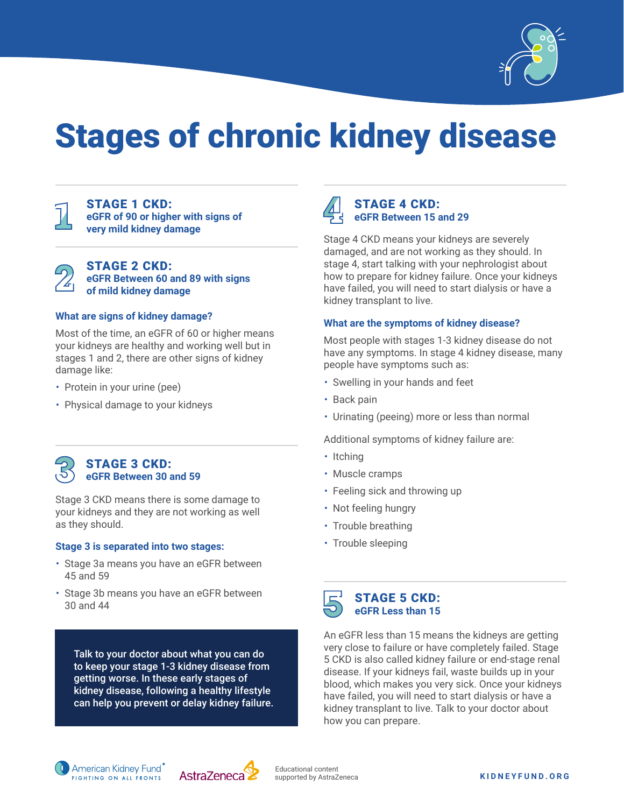

## Stages of chronic kidney disease



STAGE 1 CKD: **eGFR of 90 or higher with signs of very mild kidney damage**



STAGE 2 CKD: **eGFR Between 60 and 89 with signs of mild kidney damage**

#### **What are signs of kidney damage?**

Most of the time, an eGFR of 60 or higher means your kidneys are healthy and working well but in stages 1 and 2, there are other signs of kidney damage like:

- Protein in your urine (pee)
- Physical damage to your kidneys



Stage 3 CKD means there is some damage to your kidneys and they are not working as well as they should.

#### **Stage 3 is separated into two stages:**

- Stage 3a means you have an eGFR between 45 and 59
- Stage 3b means you have an eGFR between 30 and 44

Talk to your doctor about what you can do to keep your stage 1-3 kidney disease from getting worse. In these early stages of kidney disease, following a healthy lifestyle can help you prevent or delay kidney failure.



#### STAGE 4 CKD: **eGFR Between 15 and 29**

Stage 4 CKD means your kidneys are severely damaged, and are not working as they should. In stage 4, start talking with your nephrologist about how to prepare for kidney failure. Once your kidneys have failed, you will need to start dialysis or have a kidney transplant to live.

#### **What are the symptoms of kidney disease?**

Most people with stages 1-3 kidney disease do not have any symptoms. In stage 4 kidney disease, many people have symptoms such as:

- Swelling in your hands and feet
- Back pain
- Urinating (peeing) more or less than normal

Additional symptoms of kidney failure are:

- Itching
- Muscle cramps
- Feeling sick and throwing up
- Not feeling hungry
- Trouble breathing
- Trouble sleeping



An eGFR less than 15 means the kidneys are getting very close to failure or have completely failed. Stage 5 CKD is also called kidney failure or end-stage renal disease. If your kidneys fail, waste builds up in your blood, which makes you very sick. Once your kidneys have failed, you will need to start dialysis or have a kidney transplant to live. Talk to your doctor about how you can prepare.



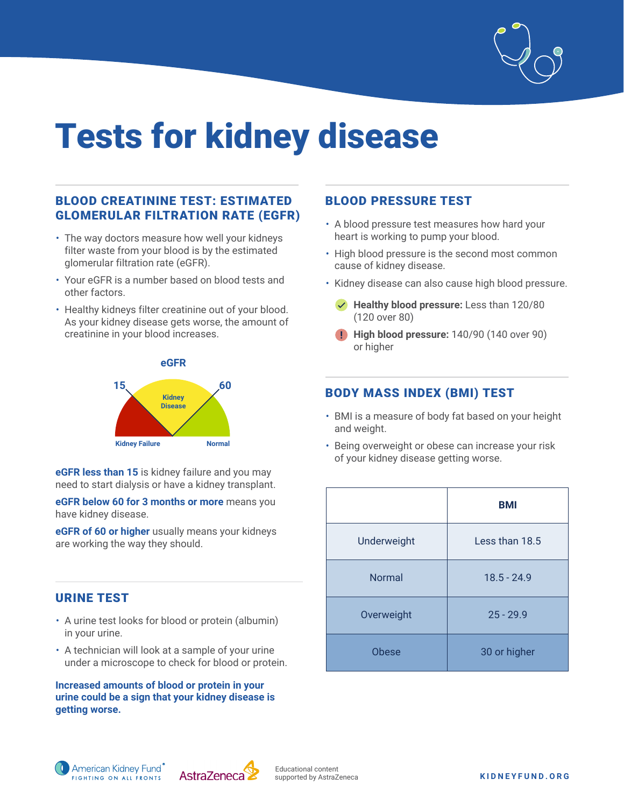

# Tests for kidney disease

#### BLOOD CREATININE TEST: ESTIMATED GLOMERULAR FILTRATION RATE (EGFR)

- The way doctors measure how well your kidneys filter waste from your blood is by the estimated glomerular filtration rate (eGFR).
- Your eGFR is a number based on blood tests and other factors.
- Healthy kidneys filter creatinine out of your blood. As your kidney disease gets worse, the amount of creatinine in your blood increases.



**eGFR less than 15** is kidney failure and you may need to start dialysis or have a kidney transplant.

**eGFR below 60 for 3 months or more** means you have kidney disease.

**eGFR of 60 or higher** usually means your kidneys are working the way they should.

#### URINE TEST

- A urine test looks for blood or protein (albumin) in your urine.
- A technician will look at a sample of your urine under a microscope to check for blood or protein.

**Increased amounts of blood or protein in your urine could be a sign that your kidney disease is getting worse.** 

#### BLOOD PRESSURE TEST

- A blood pressure test measures how hard your heart is working to pump your blood.
- High blood pressure is the second most common cause of kidney disease.
- Kidney disease can also cause high blood pressure.
	- **Healthy blood pressure:** Less than 120/80 (120 over 80)
	- **High blood pressure:** 140/90 (140 over 90) or higher

#### BODY MASS INDEX (BMI) TEST

- BMI is a measure of body fat based on your height and weight.
- Being overweight or obese can increase your risk of your kidney disease getting worse.

|              | <b>BMI</b>     |
|--------------|----------------|
| Underweight  | Less than 18.5 |
| Normal       | $18.5 - 24.9$  |
| Overweight   | $25 - 29.9$    |
| <b>Obese</b> | 30 or higher   |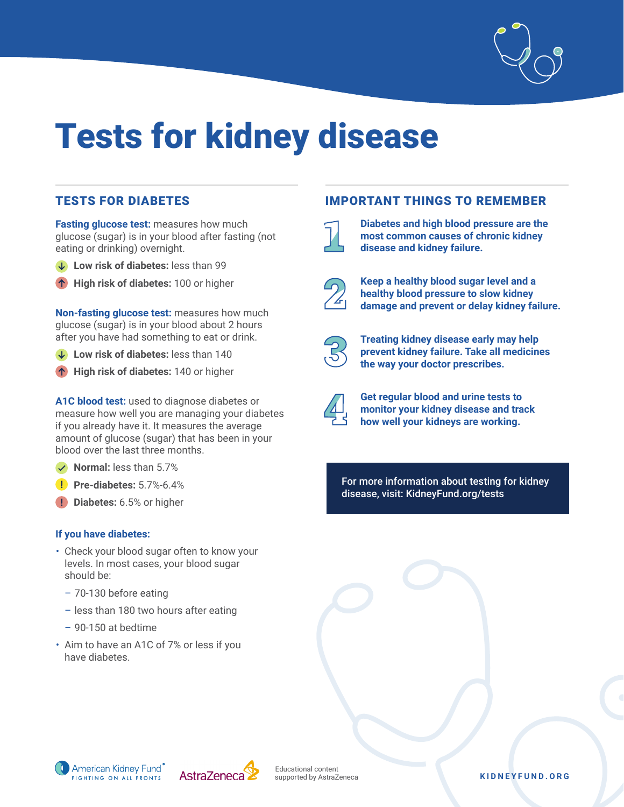

# Tests for kidney disease

#### TESTS FOR DIABETES

**Fasting glucose test:** measures how much glucose (sugar) is in your blood after fasting (not eating or drinking) overnight.

- Low risk of diabetes: less than 99
- **High risk of diabetes:** 100 or higher

**Non-fasting glucose test:** measures how much glucose (sugar) is in your blood about 2 hours after you have had something to eat or drink.

- **Low risk of diabetes:** less than 140
- **High risk of diabetes:** 140 or higher

**A1C blood test:** used to diagnose diabetes or measure how well you are managing your diabetes if you already have it. It measures the average amount of glucose (sugar) that has been in your blood over the last three months.

- **Normal:** less than 5.7%
- **Pre-diabetes:** 5.7%-6.4%
- **Diabetes:** 6.5% or higher

#### **If you have diabetes:**

- Check your blood sugar often to know your levels. In most cases, your blood sugar should be:
	- 70-130 before eating
	- less than 180 two hours after eating
	- 90-150 at bedtime
- Aim to have an A1C of 7% or less if you have diabetes.

#### IMPORTANT THINGS TO REMEMBER



**Diabetes and high blood pressure are the most common causes of chronic kidney disease and kidney failure.** 

**Keep a healthy blood sugar level and a healthy blood pressure to slow kidney damage and prevent or delay kidney failure.** 



**Treating kidney disease early may help prevent kidney failure. Take all medicines the way your doctor prescribes.**



**Get regular blood and urine tests to monitor your kidney disease and track how well your kidneys are working.**

For more information about testing for kidney disease, visit: KidneyFund.org/tests





Educational content

#### supported by AstraZeneca **KIDNEYFUND.ORG**